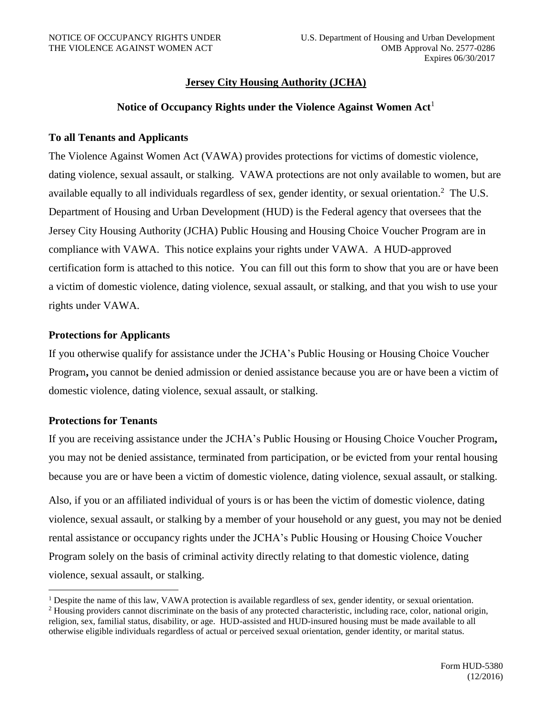# **Jersey City Housing Authority (JCHA)**

# **Notice of Occupancy Rights under the Violence Against Women Act**<sup>1</sup>

# **To all Tenants and Applicants**

The Violence Against Women Act (VAWA) provides protections for victims of domestic violence, dating violence, sexual assault, or stalking. VAWA protections are not only available to women, but are available equally to all individuals regardless of sex, gender identity, or sexual orientation.<sup>2</sup> The U.S. Department of Housing and Urban Development (HUD) is the Federal agency that oversees that the Jersey City Housing Authority (JCHA) Public Housing and Housing Choice Voucher Program are in compliance with VAWA. This notice explains your rights under VAWA. A HUD-approved certification form is attached to this notice. You can fill out this form to show that you are or have been a victim of domestic violence, dating violence, sexual assault, or stalking, and that you wish to use your rights under VAWA.

# **Protections for Applicants**

If you otherwise qualify for assistance under the JCHA's Public Housing or Housing Choice Voucher Program**,** you cannot be denied admission or denied assistance because you are or have been a victim of domestic violence, dating violence, sexual assault, or stalking.

# **Protections for Tenants**

 $\overline{a}$ 

If you are receiving assistance under the JCHA's Public Housing or Housing Choice Voucher Program**,** you may not be denied assistance, terminated from participation, or be evicted from your rental housing because you are or have been a victim of domestic violence, dating violence, sexual assault, or stalking.

Also, if you or an affiliated individual of yours is or has been the victim of domestic violence, dating violence, sexual assault, or stalking by a member of your household or any guest, you may not be denied rental assistance or occupancy rights under the JCHA's Public Housing or Housing Choice Voucher Program solely on the basis of criminal activity directly relating to that domestic violence, dating violence, sexual assault, or stalking.

<sup>1</sup> Despite the name of this law, VAWA protection is available regardless of sex, gender identity, or sexual orientation. <sup>2</sup> Housing providers cannot discriminate on the basis of any protected characteristic, including race, color, national origin, religion, sex, familial status, disability, or age. HUD-assisted and HUD-insured housing must be made available to all otherwise eligible individuals regardless of actual or perceived sexual orientation, gender identity, or marital status.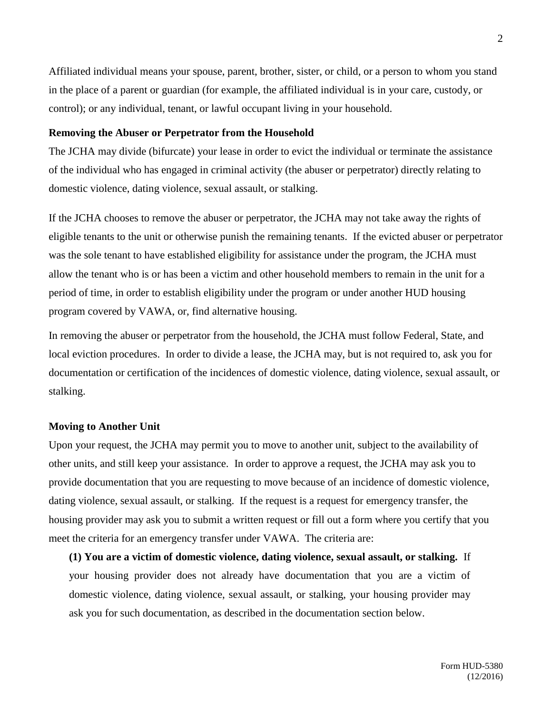Affiliated individual means your spouse, parent, brother, sister, or child, or a person to whom you stand in the place of a parent or guardian (for example, the affiliated individual is in your care, custody, or control); or any individual, tenant, or lawful occupant living in your household.

#### **Removing the Abuser or Perpetrator from the Household**

The JCHA may divide (bifurcate) your lease in order to evict the individual or terminate the assistance of the individual who has engaged in criminal activity (the abuser or perpetrator) directly relating to domestic violence, dating violence, sexual assault, or stalking.

If the JCHA chooses to remove the abuser or perpetrator, the JCHA may not take away the rights of eligible tenants to the unit or otherwise punish the remaining tenants. If the evicted abuser or perpetrator was the sole tenant to have established eligibility for assistance under the program, the JCHA must allow the tenant who is or has been a victim and other household members to remain in the unit for a period of time, in order to establish eligibility under the program or under another HUD housing program covered by VAWA, or, find alternative housing.

In removing the abuser or perpetrator from the household, the JCHA must follow Federal, State, and local eviction procedures. In order to divide a lease, the JCHA may, but is not required to, ask you for documentation or certification of the incidences of domestic violence, dating violence, sexual assault, or stalking.

### **Moving to Another Unit**

Upon your request, the JCHA may permit you to move to another unit, subject to the availability of other units, and still keep your assistance. In order to approve a request, the JCHA may ask you to provide documentation that you are requesting to move because of an incidence of domestic violence, dating violence, sexual assault, or stalking. If the request is a request for emergency transfer, the housing provider may ask you to submit a written request or fill out a form where you certify that you meet the criteria for an emergency transfer under VAWA. The criteria are:

**(1) You are a victim of domestic violence, dating violence, sexual assault, or stalking.** If your housing provider does not already have documentation that you are a victim of domestic violence, dating violence, sexual assault, or stalking, your housing provider may ask you for such documentation, as described in the documentation section below.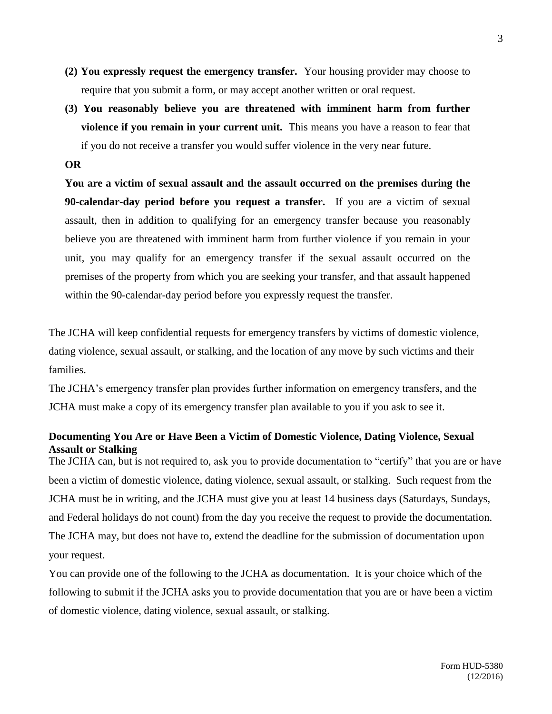- **(2) You expressly request the emergency transfer.** Your housing provider may choose to require that you submit a form, or may accept another written or oral request.
- **(3) You reasonably believe you are threatened with imminent harm from further violence if you remain in your current unit.** This means you have a reason to fear that if you do not receive a transfer you would suffer violence in the very near future.
- **OR**

**You are a victim of sexual assault and the assault occurred on the premises during the 90-calendar-day period before you request a transfer.** If you are a victim of sexual assault, then in addition to qualifying for an emergency transfer because you reasonably believe you are threatened with imminent harm from further violence if you remain in your unit, you may qualify for an emergency transfer if the sexual assault occurred on the premises of the property from which you are seeking your transfer, and that assault happened within the 90-calendar-day period before you expressly request the transfer.

The JCHA will keep confidential requests for emergency transfers by victims of domestic violence, dating violence, sexual assault, or stalking, and the location of any move by such victims and their families.

The JCHA's emergency transfer plan provides further information on emergency transfers, and the JCHA must make a copy of its emergency transfer plan available to you if you ask to see it.

# **Documenting You Are or Have Been a Victim of Domestic Violence, Dating Violence, Sexual Assault or Stalking**

The JCHA can, but is not required to, ask you to provide documentation to "certify" that you are or have been a victim of domestic violence, dating violence, sexual assault, or stalking. Such request from the JCHA must be in writing, and the JCHA must give you at least 14 business days (Saturdays, Sundays, and Federal holidays do not count) from the day you receive the request to provide the documentation. The JCHA may, but does not have to, extend the deadline for the submission of documentation upon your request.

You can provide one of the following to the JCHA as documentation. It is your choice which of the following to submit if the JCHA asks you to provide documentation that you are or have been a victim of domestic violence, dating violence, sexual assault, or stalking.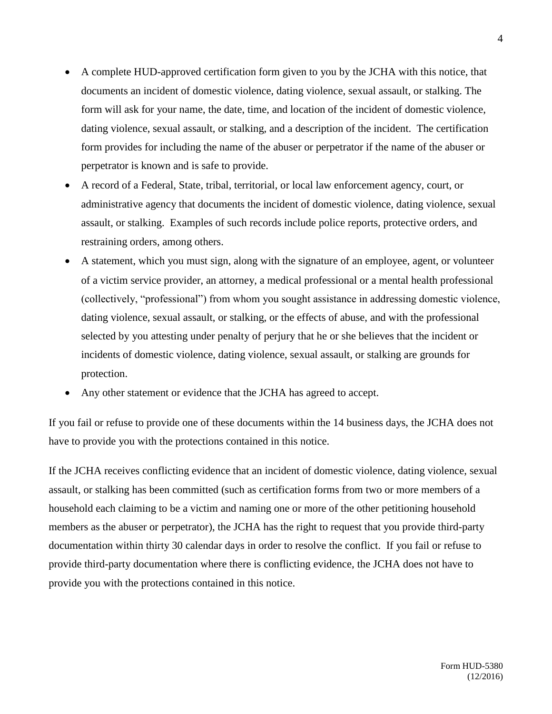- A complete HUD-approved certification form given to you by the JCHA with this notice, that documents an incident of domestic violence, dating violence, sexual assault, or stalking. The form will ask for your name, the date, time, and location of the incident of domestic violence, dating violence, sexual assault, or stalking, and a description of the incident. The certification form provides for including the name of the abuser or perpetrator if the name of the abuser or perpetrator is known and is safe to provide.
- A record of a Federal, State, tribal, territorial, or local law enforcement agency, court, or administrative agency that documents the incident of domestic violence, dating violence, sexual assault, or stalking. Examples of such records include police reports, protective orders, and restraining orders, among others.
- A statement, which you must sign, along with the signature of an employee, agent, or volunteer of a victim service provider, an attorney, a medical professional or a mental health professional (collectively, "professional") from whom you sought assistance in addressing domestic violence, dating violence, sexual assault, or stalking, or the effects of abuse, and with the professional selected by you attesting under penalty of perjury that he or she believes that the incident or incidents of domestic violence, dating violence, sexual assault, or stalking are grounds for protection.
- Any other statement or evidence that the JCHA has agreed to accept.

If you fail or refuse to provide one of these documents within the 14 business days, the JCHA does not have to provide you with the protections contained in this notice.

If the JCHA receives conflicting evidence that an incident of domestic violence, dating violence, sexual assault, or stalking has been committed (such as certification forms from two or more members of a household each claiming to be a victim and naming one or more of the other petitioning household members as the abuser or perpetrator), the JCHA has the right to request that you provide third-party documentation within thirty 30 calendar days in order to resolve the conflict. If you fail or refuse to provide third-party documentation where there is conflicting evidence, the JCHA does not have to provide you with the protections contained in this notice.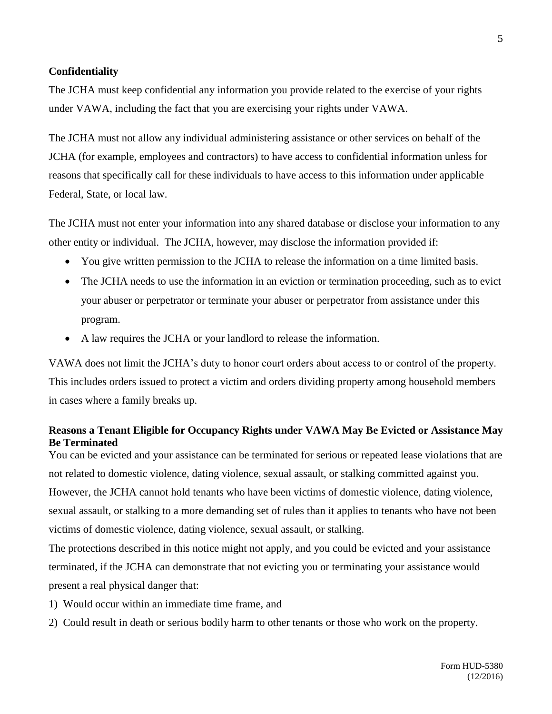# **Confidentiality**

The JCHA must keep confidential any information you provide related to the exercise of your rights under VAWA, including the fact that you are exercising your rights under VAWA.

The JCHA must not allow any individual administering assistance or other services on behalf of the JCHA (for example, employees and contractors) to have access to confidential information unless for reasons that specifically call for these individuals to have access to this information under applicable Federal, State, or local law.

The JCHA must not enter your information into any shared database or disclose your information to any other entity or individual. The JCHA, however, may disclose the information provided if:

- You give written permission to the JCHA to release the information on a time limited basis.
- The JCHA needs to use the information in an eviction or termination proceeding, such as to evict your abuser or perpetrator or terminate your abuser or perpetrator from assistance under this program.
- A law requires the JCHA or your landlord to release the information.

VAWA does not limit the JCHA's duty to honor court orders about access to or control of the property. This includes orders issued to protect a victim and orders dividing property among household members in cases where a family breaks up.

# **Reasons a Tenant Eligible for Occupancy Rights under VAWA May Be Evicted or Assistance May Be Terminated**

You can be evicted and your assistance can be terminated for serious or repeated lease violations that are not related to domestic violence, dating violence, sexual assault, or stalking committed against you. However, the JCHA cannot hold tenants who have been victims of domestic violence, dating violence, sexual assault, or stalking to a more demanding set of rules than it applies to tenants who have not been victims of domestic violence, dating violence, sexual assault, or stalking.

The protections described in this notice might not apply, and you could be evicted and your assistance terminated, if the JCHA can demonstrate that not evicting you or terminating your assistance would present a real physical danger that:

- 1) Would occur within an immediate time frame, and
- 2) Could result in death or serious bodily harm to other tenants or those who work on the property.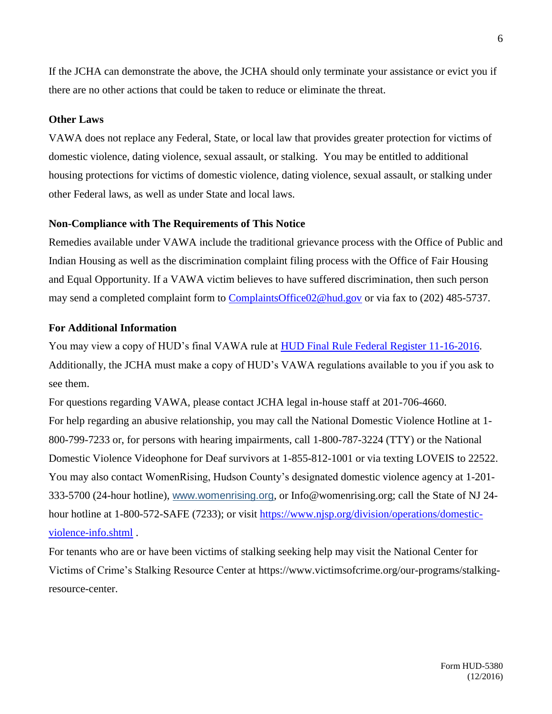If the JCHA can demonstrate the above, the JCHA should only terminate your assistance or evict you if there are no other actions that could be taken to reduce or eliminate the threat.

## **Other Laws**

VAWA does not replace any Federal, State, or local law that provides greater protection for victims of domestic violence, dating violence, sexual assault, or stalking. You may be entitled to additional housing protections for victims of domestic violence, dating violence, sexual assault, or stalking under other Federal laws, as well as under State and local laws.

### **Non-Compliance with The Requirements of This Notice**

Remedies available under VAWA include the traditional grievance process with the Office of Public and Indian Housing as well as the discrimination complaint filing process with the Office of Fair Housing and Equal Opportunity. If a VAWA victim believes to have suffered discrimination, then such person may send a completed complaint form to [ComplaintsOffice02@hud.gov](mailto:ComplaintsOffice02@hud.gov) or via fax to (202) 485-5737.

# **For Additional Information**

You may view a copy of HUD's final VAWA rule at [HUD Final Rule Federal Register 11-16-2016.](../../../AppData/Local/Microsoft/Windows/INetCache/AppData/Local/AppData/Local/Microsoft/Windows/AppData/Local/Microsoft/Windows/INetCache/Content.Outlook/CY3W1O2P/HUD%20Final%20Rule%20Federal%20Register%2011-16-2016) Additionally, the JCHA must make a copy of HUD's VAWA regulations available to you if you ask to see them.

For questions regarding VAWA, please contact JCHA legal in-house staff at 201-706-4660. For help regarding an abusive relationship, you may call the National Domestic Violence Hotline at 1- 800-799-7233 or, for persons with hearing impairments, call 1-800-787-3224 (TTY) or the National Domestic Violence Videophone for Deaf survivors at 1-855-812-1001 or via texting LOVEIS to 22522. You may also contact WomenRising, Hudson County's designated domestic violence agency at 1-201- 333-5700 (24-hour hotline), [www.womenrising.org](http://www.womenrising.org/), or Info@womenrising.org; call the State of NJ 24 hour hotline at 1-800-572-SAFE (7233); or visit [https://www.njsp.org/division/operations/domestic](https://www.njsp.org/division/operations/domestic-violence-info.shtml)[violence-info.shtml](https://www.njsp.org/division/operations/domestic-violence-info.shtml) .

For tenants who are or have been victims of stalking seeking help may visit the National Center for Victims of Crime's Stalking Resource Center at https://www.victimsofcrime.org/our-programs/stalkingresource-center.